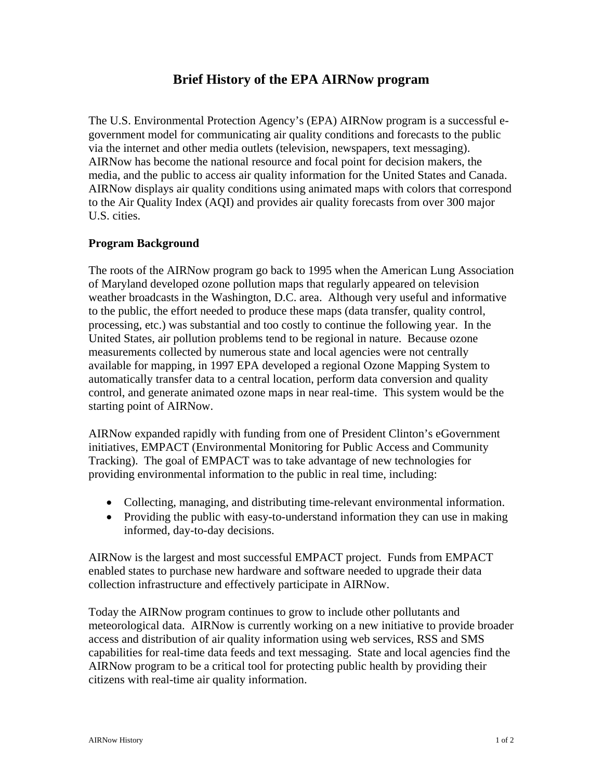# **Brief History of the EPA AIRNow program**

The U.S. Environmental Protection Agency's (EPA) AIRNow program is a successful egovernment model for communicating air quality conditions and forecasts to the public via the internet and other media outlets (television, newspapers, text messaging). AIRNow has become the national resource and focal point for decision makers, the media, and the public to access air quality information for the United States and Canada. AIRNow displays air quality conditions using animated maps with colors that correspond to the Air Quality Index (AQI) and provides air quality forecasts from over 300 major U.S. cities.

# **Program Background**

The roots of the AIRNow program go back to 1995 when the American Lung Association of Maryland developed ozone pollution maps that regularly appeared on television weather broadcasts in the Washington, D.C. area. Although very useful and informative to the public, the effort needed to produce these maps (data transfer, quality control, processing, etc.) was substantial and too costly to continue the following year. In the United States, air pollution problems tend to be regional in nature. Because ozone measurements collected by numerous state and local agencies were not centrally available for mapping, in 1997 EPA developed a regional Ozone Mapping System to automatically transfer data to a central location, perform data conversion and quality control, and generate animated ozone maps in near real-time. This system would be the starting point of AIRNow.

AIRNow expanded rapidly with funding from one of President Clinton's eGovernment initiatives, EMPACT (Environmental Monitoring for Public Access and Community Tracking). The goal of EMPACT was to take advantage of new technologies for providing environmental information to the public in real time, including:

- Collecting, managing, and distributing time-relevant environmental information.
- Providing the public with easy-to-understand information they can use in making informed, day-to-day decisions.

AIRNow is the largest and most successful EMPACT project. Funds from EMPACT enabled states to purchase new hardware and software needed to upgrade their data collection infrastructure and effectively participate in AIRNow.

Today the AIRNow program continues to grow to include other pollutants and meteorological data. AIRNow is currently working on a new initiative to provide broader access and distribution of air quality information using web services, RSS and SMS capabilities for real-time data feeds and text messaging. State and local agencies find the AIRNow program to be a critical tool for protecting public health by providing their citizens with real-time air quality information.